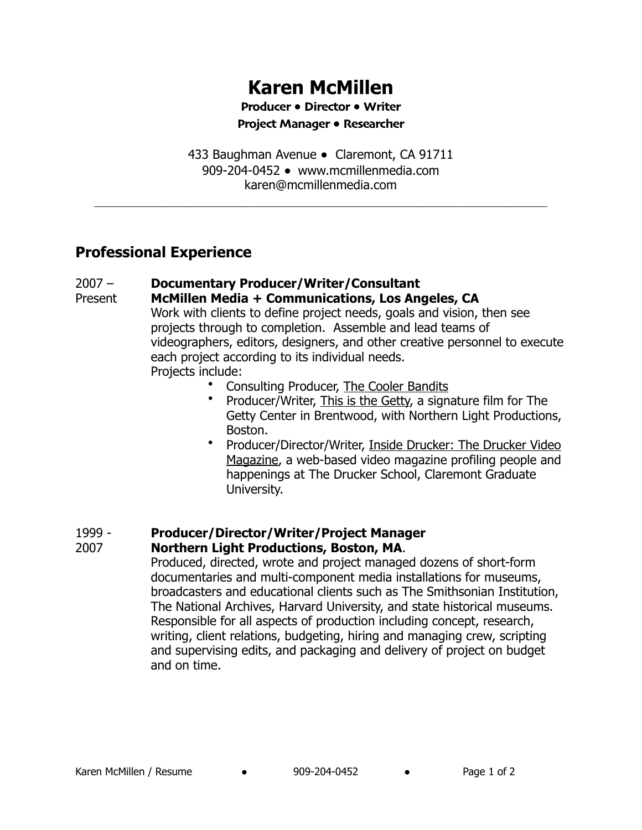# **Karen McMillen**

**Producer** ● **Director** ● **Writer** 

**Project Manager** ● **Researcher** 

433 Baughman Avenue ● Claremont, CA 91711 909-204-0452 ● [www.mcmillenmedia.com](mailto:karenmcmillen@hotmail.com) [karen@mcmillenmedia.com](mailto:karenmcmillen@hotmail.com)

 $\mathcal{L}_\text{max}$  , and the contribution of the contribution of the contribution of the contribution of the contribution of the contribution of the contribution of the contribution of the contribution of the contribution of t

# **Professional Experience**

#### 2007 – **Documentary Producer/Writer/Consultant**

- Present **McMillen Media + Communications, Los Angeles, CA** Work with clients to define project needs, goals and vision, then see projects through to completion. Assemble and lead teams of videographers, editors, designers, and other creative personnel to execute each project according to its individual needs. Projects include:
	- Consulting Producer, The Cooler Bandits
	- Producer/Writer, This is the Getty, a signature film for The Getty Center in Brentwood, with Northern Light Productions, Boston.
	- Producer/Director/Writer, Inside Drucker: The Drucker Video Magazine, a web-based video magazine profiling people and happenings at The Drucker School, Claremont Graduate University.

### 1999 - **Producer/Director/Writer/Project Manager**

#### 2007 **Northern Light Productions, Boston, MA**.

Produced, directed, wrote and project managed dozens of short-form documentaries and multi-component media installations for museums, broadcasters and educational clients such as The Smithsonian Institution, The National Archives, Harvard University, and state historical museums. Responsible for all aspects of production including concept, research, writing, client relations, budgeting, hiring and managing crew, scripting and supervising edits, and packaging and delivery of project on budget and on time.